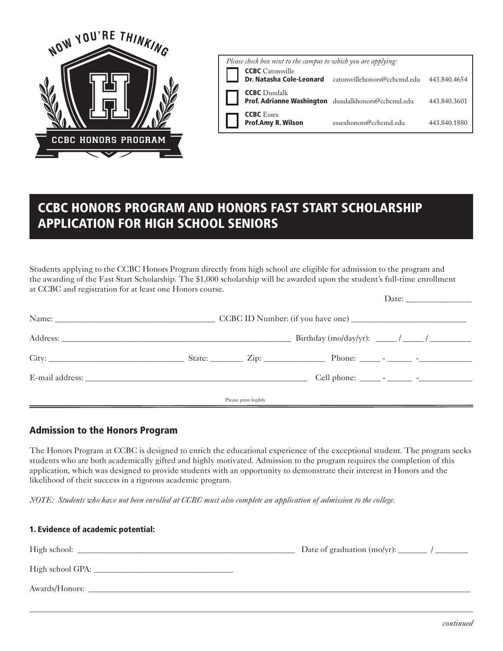

| Please check box next to the campus to which you are applying: |                                                                           |                                           |              |  |  |  |
|----------------------------------------------------------------|---------------------------------------------------------------------------|-------------------------------------------|--------------|--|--|--|
|                                                                | <b>CCBC</b> Catonsville<br>Dr. Natasha Cole-Leonard                       | catonsvillehonors@ccbcmd.edu 443.840.4654 |              |  |  |  |
|                                                                | <b>CCBC</b> Dundalk<br>Prof. Adrianne Washington dundalkhonors@ccbcmd.edu |                                           | 443.840.3601 |  |  |  |
|                                                                | <b>CCBC</b> Essex<br>Prof.Amy R. Wilson                                   | essexhonors@ccbcmd.edu                    | 443.840.1880 |  |  |  |

Date:

# CCBC HONORS PROGRAM AND HONORS FAST START SCHOLARSHIP APPLICATION FOR HIGH SCHOOL SENIORS

Students applying to the CCBC Honors Program directly from high school are eligible for admission to the program and the awarding of the Fast Start Scholarship. The \$1,000 scholarship will be awarded upon the student's full-time enrollment at CCBC and registration for at least one Honors course.

|  |                      | State: $\qquad \qquad \text{Zip:} \qquad \qquad \text{Phone:} \qquad \qquad \text{--} \qquad \qquad \text{--} \qquad \qquad \text{--}$ |  |
|--|----------------------|----------------------------------------------------------------------------------------------------------------------------------------|--|
|  |                      |                                                                                                                                        |  |
|  | Please print legibly |                                                                                                                                        |  |

# Admission to the Honors Program

The Honors Program at CCBC is designed to enrich the educational experience of the exceptional student. The program seeks students who are both academically gifted and highly motivated. Admission to the program requires the completion of this application, which was designed to provide students with an opportunity to demonstrate their interest in Honors and the likelihood of their success in a rigorous academic program.

*NOTE: Students who have not been enrolled at CCBC must also complete an application of admission to the college.* 

| 1. Evidence of academic potential: |  |  |  |  |  |
|------------------------------------|--|--|--|--|--|
|                                    |  |  |  |  |  |
|                                    |  |  |  |  |  |
| Awards/Honors:                     |  |  |  |  |  |

\_\_\_\_\_\_\_\_\_\_\_\_\_\_\_\_\_\_\_\_\_\_\_\_\_\_\_\_\_\_\_\_\_\_\_\_\_\_\_\_\_\_\_\_\_\_\_\_\_\_\_\_\_\_\_\_\_\_\_\_\_\_\_\_\_\_\_\_\_\_\_\_\_\_\_\_\_\_\_\_\_\_\_\_\_\_\_\_\_\_\_\_\_\_\_\_\_\_\_\_\_\_\_\_\_\_\_\_